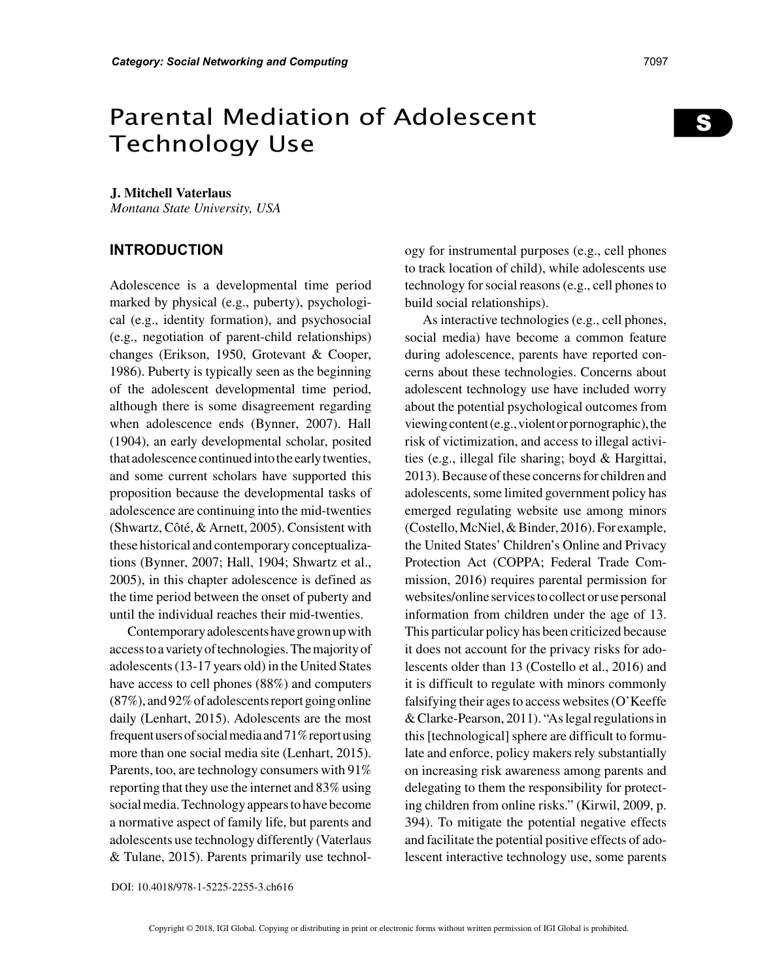# Parental Mediation of Adolescent Technology Use

#### **J. Mitchell Vaterlaus**

*Montana State University, USA*

#### **INTRODUCTION**

Adolescence is a developmental time period marked by physical (e.g., puberty), psychological (e.g., identity formation), and psychosocial (e.g., negotiation of parent-child relationships) changes (Erikson, 1950, Grotevant & Cooper, 1986). Puberty is typically seen as the beginning of the adolescent developmental time period, although there is some disagreement regarding when adolescence ends (Bynner, 2007). Hall (1904), an early developmental scholar, posited that adolescence continued into the early twenties, and some current scholars have supported this proposition because the developmental tasks of adolescence are continuing into the mid-twenties (Shwartz, Côté, & Arnett, 2005). Consistent with these historical and contemporary conceptualizations (Bynner, 2007; Hall, 1904; Shwartz et al., 2005), in this chapter adolescence is defined as the time period between the onset of puberty and until the individual reaches their mid-twenties.

Contemporary adolescents have grown up with access to a variety of technologies. The majority of adolescents (13-17 years old) in the United States have access to cell phones (88%) and computers (87%), and 92% of adolescents report going online daily (Lenhart, 2015). Adolescents are the most frequent users of social media and 71% report using more than one social media site (Lenhart, 2015). Parents, too, are technology consumers with 91% reporting that they use the internet and 83% using social media. Technology appears to have become a normative aspect of family life, but parents and adolescents use technology differently (Vaterlaus & Tulane, 2015). Parents primarily use technology for instrumental purposes (e.g., cell phones to track location of child), while adolescents use technology for social reasons (e.g., cell phones to build social relationships).

As interactive technologies (e.g., cell phones, social media) have become a common feature during adolescence, parents have reported concerns about these technologies. Concerns about adolescent technology use have included worry about the potential psychological outcomes from viewing content (e.g., violent or pornographic), the risk of victimization, and access to illegal activities (e.g., illegal file sharing; boyd & Hargittai, 2013). Because of these concerns for children and adolescents, some limited government policy has emerged regulating website use among minors (Costello, McNiel, & Binder, 2016). For example, the United States' Children's Online and Privacy Protection Act (COPPA; Federal Trade Commission, 2016) requires parental permission for websites/online services to collect or use personal information from children under the age of 13. This particular policy has been criticized because it does not account for the privacy risks for adolescents older than 13 (Costello et al., 2016) and it is difficult to regulate with minors commonly falsifying their ages to access websites (O'Keeffe & Clarke-Pearson, 2011). "As legal regulations in this [technological] sphere are difficult to formulate and enforce, policy makers rely substantially on increasing risk awareness among parents and delegating to them the responsibility for protecting children from online risks." (Kirwil, 2009, p. 394). To mitigate the potential negative effects and facilitate the potential positive effects of adolescent interactive technology use, some parents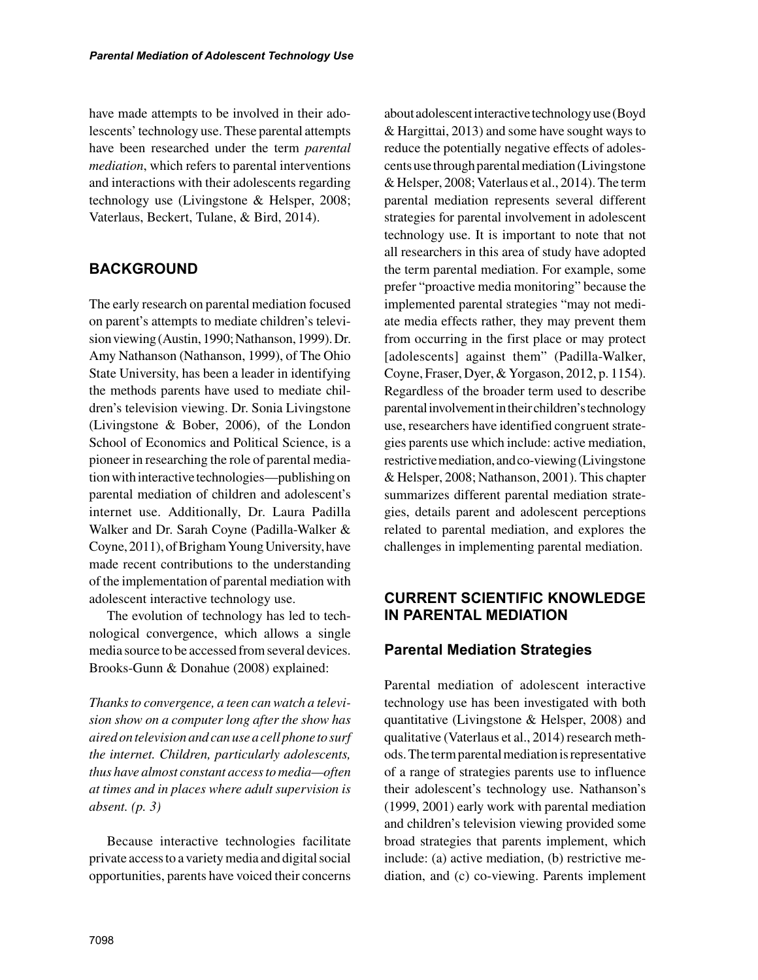have made attempts to be involved in their adolescents' technology use. These parental attempts have been researched under the term *parental mediation*, which refers to parental interventions and interactions with their adolescents regarding technology use (Livingstone & Helsper, 2008; Vaterlaus, Beckert, Tulane, & Bird, 2014).

# **BACKGROUND**

The early research on parental mediation focused on parent's attempts to mediate children's television viewing (Austin, 1990; Nathanson, 1999). Dr. Amy Nathanson (Nathanson, 1999), of The Ohio State University, has been a leader in identifying the methods parents have used to mediate children's television viewing. Dr. Sonia Livingstone (Livingstone & Bober, 2006), of the London School of Economics and Political Science, is a pioneer in researching the role of parental mediation with interactive technologies—publishing on parental mediation of children and adolescent's internet use. Additionally, Dr. Laura Padilla Walker and Dr. Sarah Coyne (Padilla-Walker & Coyne, 2011), of Brigham Young University, have made recent contributions to the understanding of the implementation of parental mediation with adolescent interactive technology use.

The evolution of technology has led to technological convergence, which allows a single media source to be accessed from several devices. Brooks-Gunn & Donahue (2008) explained:

*Thanks to convergence, a teen can watch a television show on a computer long after the show has aired on television and can use a cell phone to surf the internet. Children, particularly adolescents, thus have almost constant access to media—often at times and in places where adult supervision is absent. (p. 3)*

Because interactive technologies facilitate private access to a variety media and digital social opportunities, parents have voiced their concerns about adolescent interactive technology use (Boyd & Hargittai, 2013) and some have sought ways to reduce the potentially negative effects of adolescents use through parental mediation (Livingstone & Helsper, 2008; Vaterlaus et al., 2014). The term parental mediation represents several different strategies for parental involvement in adolescent technology use. It is important to note that not all researchers in this area of study have adopted the term parental mediation. For example, some prefer "proactive media monitoring" because the implemented parental strategies "may not mediate media effects rather, they may prevent them from occurring in the first place or may protect [adolescents] against them" (Padilla-Walker, Coyne, Fraser, Dyer, & Yorgason, 2012, p. 1154). Regardless of the broader term used to describe parental involvement in their children's technology use, researchers have identified congruent strategies parents use which include: active mediation, restrictive mediation, and co-viewing (Livingstone & Helsper, 2008; Nathanson, 2001). This chapter summarizes different parental mediation strategies, details parent and adolescent perceptions related to parental mediation, and explores the challenges in implementing parental mediation.

## **CURRENT SCIENTIFIC KNOWLEDGE IN PARENTAL MEDIATION**

# **Parental Mediation Strategies**

Parental mediation of adolescent interactive technology use has been investigated with both quantitative (Livingstone & Helsper, 2008) and qualitative (Vaterlaus et al., 2014) research methods. The term parental mediation is representative of a range of strategies parents use to influence their adolescent's technology use. Nathanson's (1999, 2001) early work with parental mediation and children's television viewing provided some broad strategies that parents implement, which include: (a) active mediation, (b) restrictive mediation, and (c) co-viewing. Parents implement